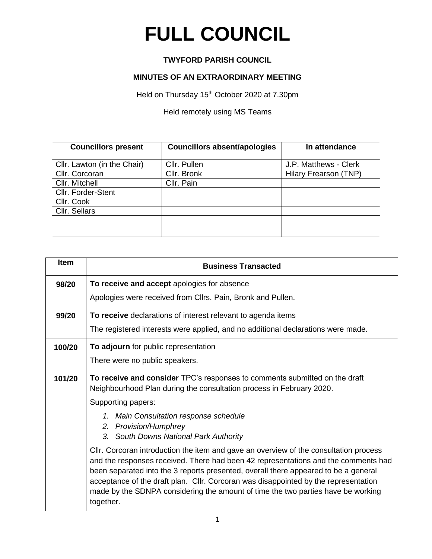## **FULL COUNCIL**

## **TWYFORD PARISH COUNCIL**

## **MINUTES OF AN EXTRAORDINARY MEETING**

Held on Thursday 15<sup>th</sup> October 2020 at 7.30pm

Held remotely using MS Teams

| <b>Councillors present</b>  | <b>Councillors absent/apologies</b> | In attendance         |
|-----------------------------|-------------------------------------|-----------------------|
|                             |                                     |                       |
| Cllr. Lawton (in the Chair) | Cllr. Pullen                        | J.P. Matthews - Clerk |
| Cllr. Corcoran              | Cllr. Bronk                         | Hilary Frearson (TNP) |
| Cllr. Mitchell              | Cllr. Pain                          |                       |
| Cllr. Forder-Stent          |                                     |                       |
| Cllr. Cook                  |                                     |                       |
| Cllr. Sellars               |                                     |                       |
|                             |                                     |                       |
|                             |                                     |                       |

| Item   | <b>Business Transacted</b>                                                                                                                                                                                                                                                                                                                                                                                                                                 |  |
|--------|------------------------------------------------------------------------------------------------------------------------------------------------------------------------------------------------------------------------------------------------------------------------------------------------------------------------------------------------------------------------------------------------------------------------------------------------------------|--|
| 98/20  | To receive and accept apologies for absence                                                                                                                                                                                                                                                                                                                                                                                                                |  |
|        | Apologies were received from Cllrs. Pain, Bronk and Pullen.                                                                                                                                                                                                                                                                                                                                                                                                |  |
| 99/20  | To receive declarations of interest relevant to agenda items                                                                                                                                                                                                                                                                                                                                                                                               |  |
|        | The registered interests were applied, and no additional declarations were made.                                                                                                                                                                                                                                                                                                                                                                           |  |
| 100/20 | To adjourn for public representation                                                                                                                                                                                                                                                                                                                                                                                                                       |  |
|        | There were no public speakers.                                                                                                                                                                                                                                                                                                                                                                                                                             |  |
| 101/20 | To receive and consider TPC's responses to comments submitted on the draft<br>Neighbourhood Plan during the consultation process in February 2020.                                                                                                                                                                                                                                                                                                         |  |
|        | Supporting papers:                                                                                                                                                                                                                                                                                                                                                                                                                                         |  |
|        | Main Consultation response schedule<br>$1_{-}$                                                                                                                                                                                                                                                                                                                                                                                                             |  |
|        | 2. Provision/Humphrey<br>3. South Downs National Park Authority                                                                                                                                                                                                                                                                                                                                                                                            |  |
|        | CIIr. Corcoran introduction the item and gave an overview of the consultation process<br>and the responses received. There had been 42 representations and the comments had<br>been separated into the 3 reports presented, overall there appeared to be a general<br>acceptance of the draft plan. Cllr. Corcoran was disappointed by the representation<br>made by the SDNPA considering the amount of time the two parties have be working<br>together. |  |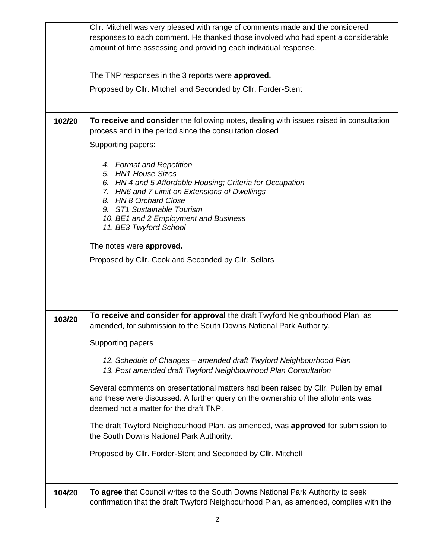|        | CIIr. Mitchell was very pleased with range of comments made and the considered<br>responses to each comment. He thanked those involved who had spent a considerable<br>amount of time assessing and providing each individual response.<br>The TNP responses in the 3 reports were approved.<br>Proposed by Cllr. Mitchell and Seconded by Cllr. Forder-Stent              |
|--------|----------------------------------------------------------------------------------------------------------------------------------------------------------------------------------------------------------------------------------------------------------------------------------------------------------------------------------------------------------------------------|
| 102/20 | To receive and consider the following notes, dealing with issues raised in consultation<br>process and in the period since the consultation closed                                                                                                                                                                                                                         |
|        | Supporting papers:                                                                                                                                                                                                                                                                                                                                                         |
|        | 4. Format and Repetition<br>5. HN1 House Sizes<br>6. HN 4 and 5 Affordable Housing; Criteria for Occupation<br>7. HN6 and 7 Limit on Extensions of Dwellings<br>8. HN 8 Orchard Close<br>9. ST1 Sustainable Tourism<br>10. BE1 and 2 Employment and Business<br>11. BE3 Twyford School<br>The notes were approved.<br>Proposed by Cllr. Cook and Seconded by Cllr. Sellars |
| 103/20 | To receive and consider for approval the draft Twyford Neighbourhood Plan, as<br>amended, for submission to the South Downs National Park Authority.                                                                                                                                                                                                                       |
|        | Supporting papers                                                                                                                                                                                                                                                                                                                                                          |
|        | 12. Schedule of Changes - amended draft Twyford Neighbourhood Plan<br>13. Post amended draft Twyford Neighbourhood Plan Consultation                                                                                                                                                                                                                                       |
|        | Several comments on presentational matters had been raised by Cllr. Pullen by email<br>and these were discussed. A further query on the ownership of the allotments was<br>deemed not a matter for the draft TNP.                                                                                                                                                          |
|        | The draft Twyford Neighbourhood Plan, as amended, was approved for submission to<br>the South Downs National Park Authority.                                                                                                                                                                                                                                               |
|        | Proposed by Cllr. Forder-Stent and Seconded by Cllr. Mitchell                                                                                                                                                                                                                                                                                                              |
| 104/20 | To agree that Council writes to the South Downs National Park Authority to seek<br>confirmation that the draft Twyford Neighbourhood Plan, as amended, complies with the                                                                                                                                                                                                   |